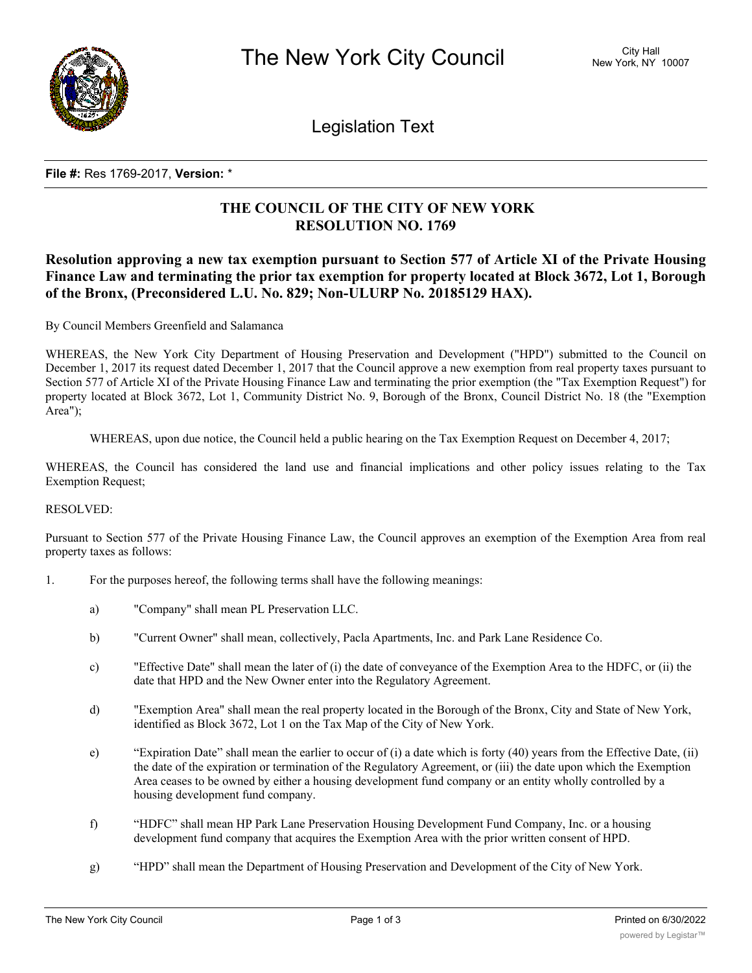

Legislation Text

#### **File #:** Res 1769-2017, **Version:** \*

# **THE COUNCIL OF THE CITY OF NEW YORK RESOLUTION NO. 1769**

# **Resolution approving a new tax exemption pursuant to Section 577 of Article XI of the Private Housing Finance Law and terminating the prior tax exemption for property located at Block 3672, Lot 1, Borough of the Bronx, (Preconsidered L.U. No. 829; Non-ULURP No. 20185129 HAX).**

By Council Members Greenfield and Salamanca

WHEREAS, the New York City Department of Housing Preservation and Development ("HPD") submitted to the Council on December 1, 2017 its request dated December 1, 2017 that the Council approve a new exemption from real property taxes pursuant to Section 577 of Article XI of the Private Housing Finance Law and terminating the prior exemption (the "Tax Exemption Request") for property located at Block 3672, Lot 1, Community District No. 9, Borough of the Bronx, Council District No. 18 (the "Exemption Area");

WHEREAS, upon due notice, the Council held a public hearing on the Tax Exemption Request on December 4, 2017;

WHEREAS, the Council has considered the land use and financial implications and other policy issues relating to the Tax Exemption Request;

#### RESOLVED:

Pursuant to Section 577 of the Private Housing Finance Law, the Council approves an exemption of the Exemption Area from real property taxes as follows:

- 1. For the purposes hereof, the following terms shall have the following meanings:
	- a) "Company" shall mean PL Preservation LLC.
	- b) "Current Owner" shall mean, collectively, Pacla Apartments, Inc. and Park Lane Residence Co.
	- c) "Effective Date" shall mean the later of (i) the date of conveyance of the Exemption Area to the HDFC, or (ii) the date that HPD and the New Owner enter into the Regulatory Agreement.
	- d) "Exemption Area" shall mean the real property located in the Borough of the Bronx, City and State of New York, identified as Block 3672, Lot 1 on the Tax Map of the City of New York.
	- e) "Expiration Date" shall mean the earlier to occur of (i) a date which is forty (40) years from the Effective Date, (ii) the date of the expiration or termination of the Regulatory Agreement, or (iii) the date upon which the Exemption Area ceases to be owned by either a housing development fund company or an entity wholly controlled by a housing development fund company.
	- f) "HDFC" shall mean HP Park Lane Preservation Housing Development Fund Company, Inc. or a housing development fund company that acquires the Exemption Area with the prior written consent of HPD.
	- g) "HPD" shall mean the Department of Housing Preservation and Development of the City of New York.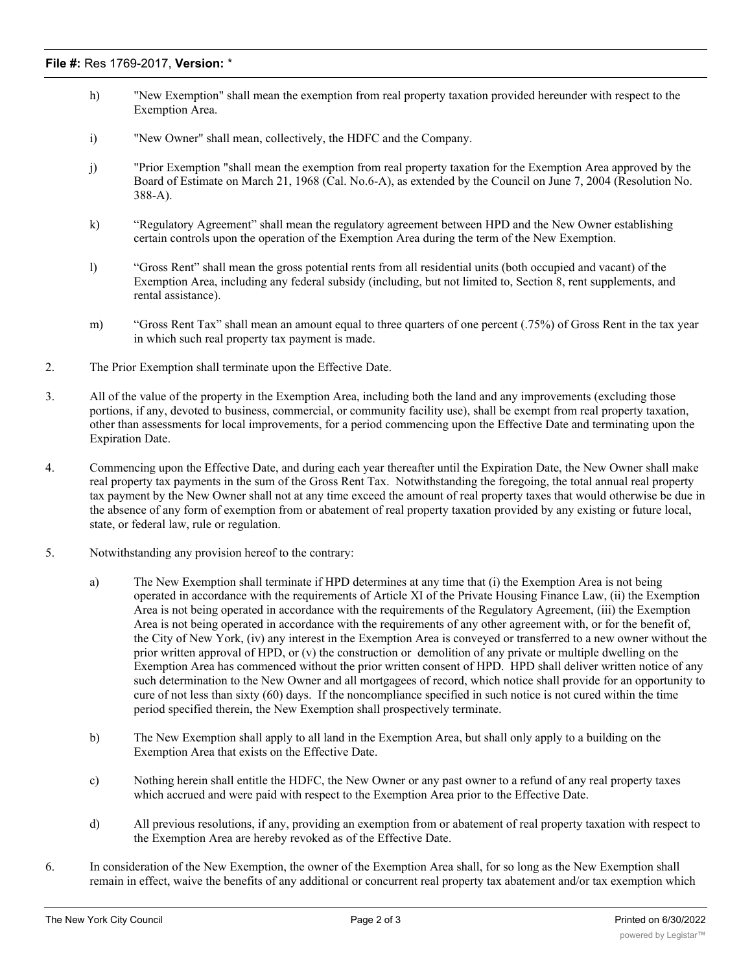- h) "New Exemption" shall mean the exemption from real property taxation provided hereunder with respect to the Exemption Area.
- i) "New Owner" shall mean, collectively, the HDFC and the Company.
- j) "Prior Exemption "shall mean the exemption from real property taxation for the Exemption Area approved by the Board of Estimate on March 21, 1968 (Cal. No.6-A), as extended by the Council on June 7, 2004 (Resolution No. 388-A).
- k) "Regulatory Agreement" shall mean the regulatory agreement between HPD and the New Owner establishing certain controls upon the operation of the Exemption Area during the term of the New Exemption.
- l) "Gross Rent" shall mean the gross potential rents from all residential units (both occupied and vacant) of the Exemption Area, including any federal subsidy (including, but not limited to, Section 8, rent supplements, and rental assistance).
- m) "Gross Rent Tax" shall mean an amount equal to three quarters of one percent (.75%) of Gross Rent in the tax year in which such real property tax payment is made.
- 2. The Prior Exemption shall terminate upon the Effective Date.
- 3. All of the value of the property in the Exemption Area, including both the land and any improvements (excluding those portions, if any, devoted to business, commercial, or community facility use), shall be exempt from real property taxation, other than assessments for local improvements, for a period commencing upon the Effective Date and terminating upon the Expiration Date.
- 4. Commencing upon the Effective Date, and during each year thereafter until the Expiration Date, the New Owner shall make real property tax payments in the sum of the Gross Rent Tax. Notwithstanding the foregoing, the total annual real property tax payment by the New Owner shall not at any time exceed the amount of real property taxes that would otherwise be due in the absence of any form of exemption from or abatement of real property taxation provided by any existing or future local, state, or federal law, rule or regulation.
- 5. Notwithstanding any provision hereof to the contrary:
	- a) The New Exemption shall terminate if HPD determines at any time that (i) the Exemption Area is not being operated in accordance with the requirements of Article XI of the Private Housing Finance Law, (ii) the Exemption Area is not being operated in accordance with the requirements of the Regulatory Agreement, (iii) the Exemption Area is not being operated in accordance with the requirements of any other agreement with, or for the benefit of, the City of New York, (iv) any interest in the Exemption Area is conveyed or transferred to a new owner without the prior written approval of HPD, or (v) the construction or demolition of any private or multiple dwelling on the Exemption Area has commenced without the prior written consent of HPD. HPD shall deliver written notice of any such determination to the New Owner and all mortgagees of record, which notice shall provide for an opportunity to cure of not less than sixty (60) days. If the noncompliance specified in such notice is not cured within the time period specified therein, the New Exemption shall prospectively terminate.
	- b) The New Exemption shall apply to all land in the Exemption Area, but shall only apply to a building on the Exemption Area that exists on the Effective Date.
	- c) Nothing herein shall entitle the HDFC, the New Owner or any past owner to a refund of any real property taxes which accrued and were paid with respect to the Exemption Area prior to the Effective Date.
	- d) All previous resolutions, if any, providing an exemption from or abatement of real property taxation with respect to the Exemption Area are hereby revoked as of the Effective Date.
- 6. In consideration of the New Exemption, the owner of the Exemption Area shall, for so long as the New Exemption shall remain in effect, waive the benefits of any additional or concurrent real property tax abatement and/or tax exemption which